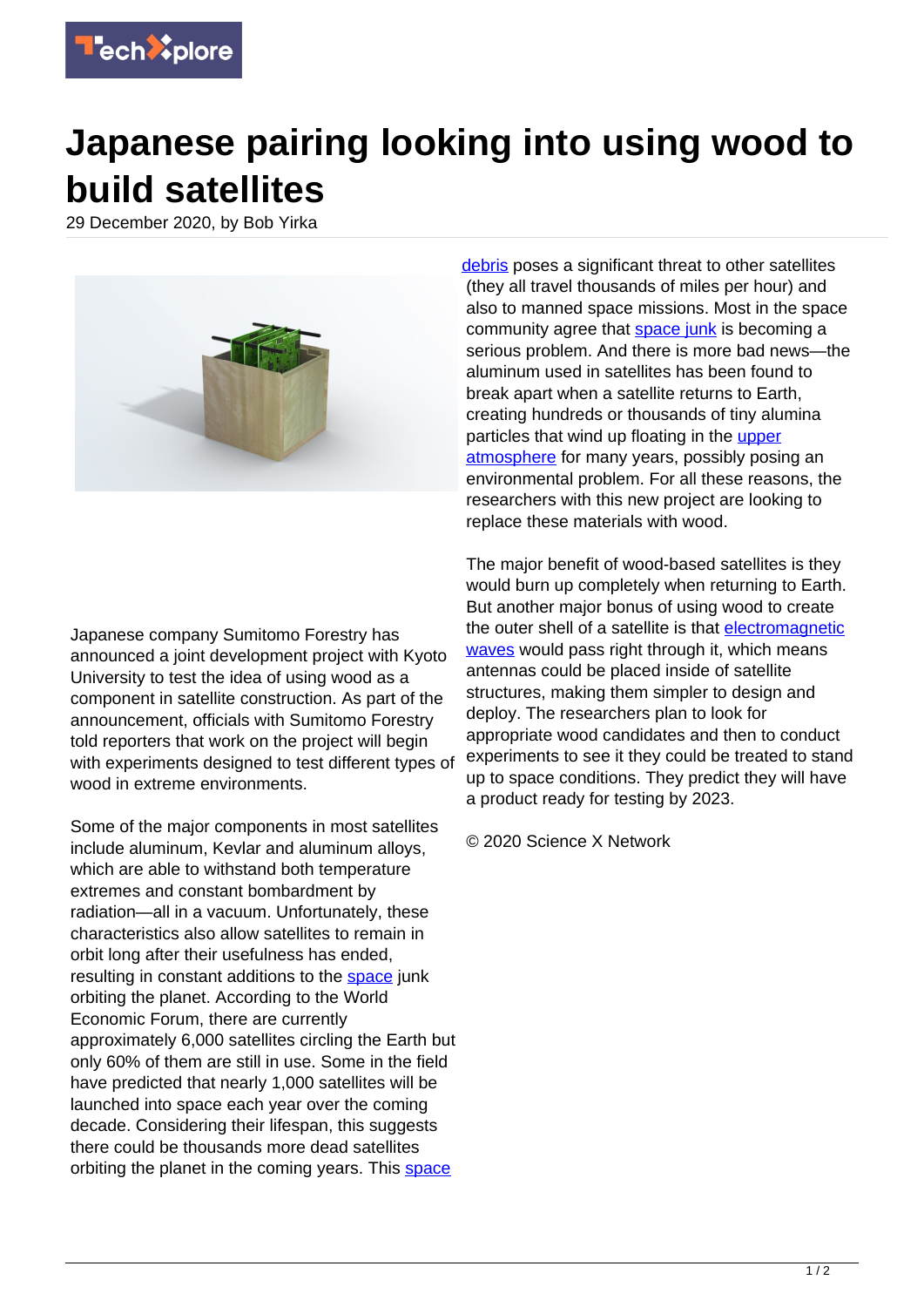

## **Japanese pairing looking into using wood to build satellites**

29 December 2020, by Bob Yirka



Japanese company Sumitomo Forestry has announced a joint development project with Kyoto University to test the idea of using wood as a component in satellite construction. As part of the announcement, officials with Sumitomo Forestry told reporters that work on the project will begin with experiments designed to test different types of wood in extreme environments.

Some of the major components in most satellites include aluminum, Kevlar and aluminum alloys, which are able to withstand both temperature extremes and constant bombardment by radiation—all in a vacuum. Unfortunately, these characteristics also allow satellites to remain in orbit long after their usefulness has ended, resulting in constant additions to the [space](https://techxplore.com/tags/space/) junk orbiting the planet. According to the World Economic Forum, there are currently approximately 6,000 satellites circling the Earth but only 60% of them are still in use. Some in the field have predicted that nearly 1,000 satellites will be launched into space each year over the coming decade. Considering their lifespan, this suggests there could be thousands more dead satellites orbiting the planet in the coming years. This [space](https://techxplore.com/tags/space+debris/)

[debris](https://techxplore.com/tags/space+debris/) poses a significant threat to other satellites (they all travel thousands of miles per hour) and also to manned space missions. Most in the space community agree that [space junk](https://techxplore.com/tags/space+junk/) is becoming a serious problem. And there is more bad news—the aluminum used in satellites has been found to break apart when a satellite returns to Earth, creating hundreds or thousands of tiny alumina particles that wind up floating in the [upper](https://techxplore.com/tags/upper+atmosphere/) [atmosphere](https://techxplore.com/tags/upper+atmosphere/) for many years, possibly posing an environmental problem. For all these reasons, the researchers with this new project are looking to replace these materials with wood.

The major benefit of wood-based satellites is they would burn up completely when returning to Earth. But another major bonus of using wood to create the outer shell of a satellite is that [electromagnetic](https://techxplore.com/tags/electromagnetic+waves/) [waves](https://techxplore.com/tags/electromagnetic+waves/) would pass right through it, which means antennas could be placed inside of satellite structures, making them simpler to design and deploy. The researchers plan to look for appropriate wood candidates and then to conduct experiments to see it they could be treated to stand up to space conditions. They predict they will have a product ready for testing by 2023.

© 2020 Science X Network